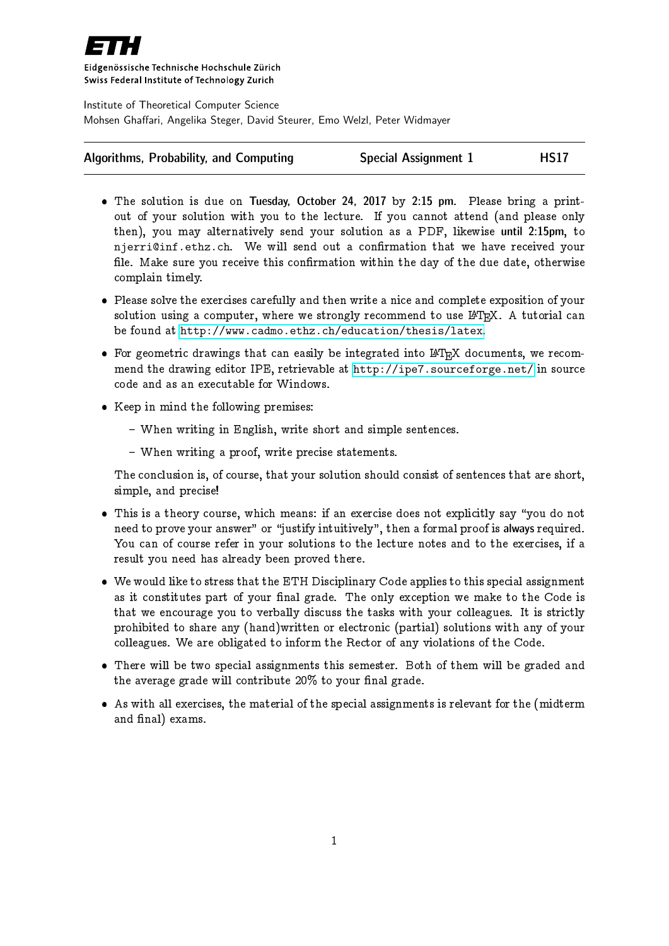

Eidgenössische Technische Hochschule Zürich Swiss Federal Institute of Technology Zurich

Institute of Theoretical Computer Science Mohsen Ghaffari, Angelika Steger, David Steurer, Emo Welzl, Peter Widmayer

| Algorithms, Probability, and Computing | <b>Special Assignment 1</b> | <b>HS17</b> |
|----------------------------------------|-----------------------------|-------------|
|----------------------------------------|-----------------------------|-------------|

- The solution is due on Tuesday, October 24, 2017 by 2:15 pm. Please bring a printout of your solution with you to the lecture. If you cannot attend (and please only then), you may alternatively send your solution as a PDF, likewise until 2:15pm, to njerri@inf.ethz.ch. We will send out a confirmation that we have received your file. Make sure you receive this confirmation within the day of the due date, otherwise complain timely.
- Please solve the exercises carefully and then write a nice and complete exposition of your solution using a computer, where we strongly recommend to use  $I\llbracket A\rrbracket$ . A tutorial can be found at <http://www.cadmo.ethz.ch/education/thesis/latex>.
- $\bullet$  For geometric drawings that can easily be integrated into LAT<sub>EX</sub> documents, we recommend the drawing editor IPE, retrievable at <http://ipe7.sourceforge.net/> in source code and as an executable for Windows.
- Keep in mind the following premises:
	- When writing in English, write short and simple sentences.
	- When writing a proof, write precise statements.

The conclusion is, of course, that your solution should consist of sentences that are short, simple, and precise!

- $\bullet$  This is a theory course, which means: if an exercise does not explicitly say "you do not need to prove your answer" or "justify intuitively", then a formal proof is always required. You can of course refer in your solutions to the lecture notes and to the exercises, if a result you need has already been proved there.
- We would like to stress that the ETH Disciplinary Code applies to this special assignment as it constitutes part of your final grade. The only exception we make to the Code is that we encourage you to verbally discuss the tasks with your colleagues. It is strictly prohibited to share any (hand)written or electronic (partial) solutions with any of your colleagues. We are obligated to inform the Rector of any violations of the Code.
- There will be two special assignments this semester. Both of them will be graded and the average grade will contribute  $20\%$  to your final grade.
- As with all exercises, the material of the special assignments is relevant for the (midterm and final) exams.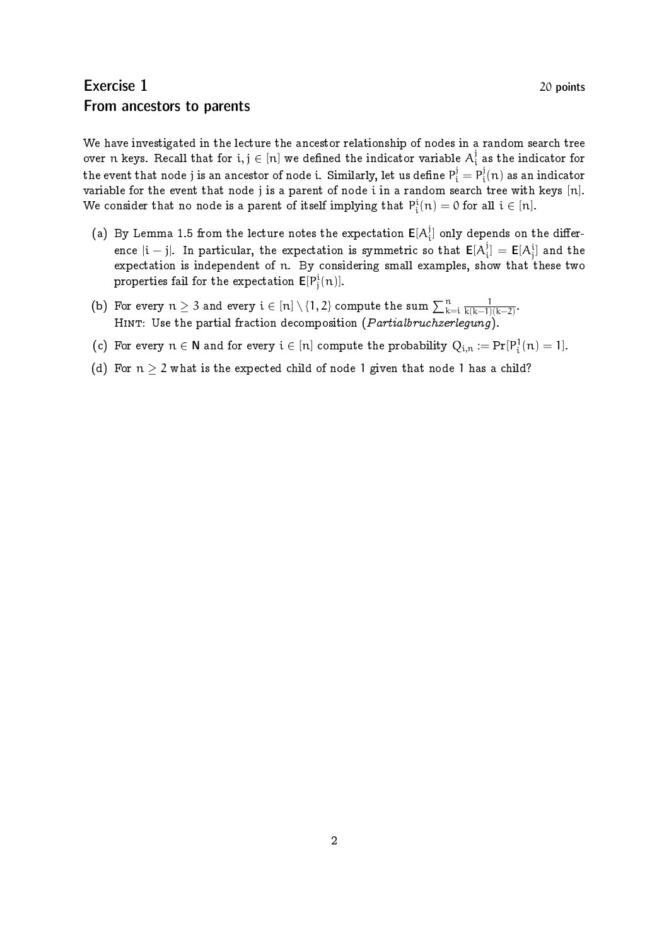## Exercise 1 20 points From ancestors to parents

We have investigated in the lecture the ancestor relationship of nodes in a random search tree over n keys. Recall that for  $\mathrm{i},\mathrm{j} \in [\mathrm{n}]$  we defined the indicator variable  $\mathrm{A}^\mathrm{j}_\mathrm{i}$  $\frac{1}{i}$  as the indicator for the event that node j is an ancestor of node i. Similarly, let us define  $\rm P_i^j=\rm P_i^j$  $\mathfrak{p}_\mathfrak{i}^\mathfrak{g}(\mathfrak{n})$  as an indicator variable for the event that node j is a parent of node i in a random search tree with keys [n]. We consider that no node is a parent of itself implying that  $P_i^{\rm i}(n)=0$  for all  $i\in [n].$ 

- (a) By Lemma 1.5 from the lecture notes the expectation  $\mathsf{E}[\mathsf{A}_i^j]$  $\mathcal{C}_i^{\text{}}$  only depends on the difference  $|\mathfrak{i}-\mathfrak{j}|$ . In particular, the expectation is symmetric so that  $\mathsf{E}[\mathsf{A}^{\mathfrak{j}}_{\mathfrak{j}}]$  $\mathbf{E}[\mathsf{A}^{\text{i}}_{\text{j}}]$  and the expectation is independent of n. By considering small examples, show that these two properties fail for the expectation  $\mathsf{E}[P^i_j(n)]$ .
- (b) For every  $n\geq 3$  and every  $\mathfrak{i}\in[n]\setminus\{1,2\}$  compute the sum  $\sum_{k=\mathfrak{i}}^{n}\frac{1}{k(k-1)}$  $\frac{1}{k(k-1)(k-2)}$ HINT: Use the partial fraction decomposition (Partialbruchzerlegung).
- (c) For every  $n \in \mathbb{N}$  and for every  $i \in [n]$  compute the probability  $Q_{i,n} := Pr[P_i^1(n) = 1]$ .
- (d) For  $n > 2$  what is the expected child of node 1 given that node 1 has a child?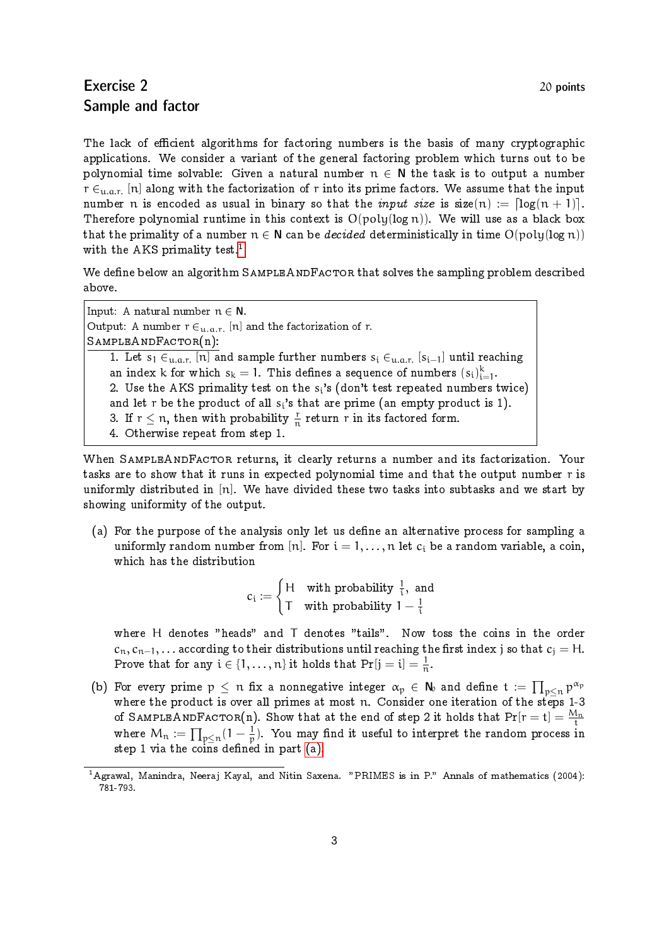## Exercise 2 20 points Sample and factor

The lack of efficient algorithms for factoring numbers is the basis of many cryptographic applications. We consider a variant of the general factoring problem which turns out to be polynomial time solvable: Given a natural number  $n \in N$  the task is to output a number  $r \in$ <sub>u.a.r.</sub> [n] along with the factorization of r into its prime factors. We assume that the input number n is encoded as usual in binary so that the *input size* is  $size(n) := \lfloor log(n + 1) \rfloor$ . Therefore polynomial runtime in this context is  $O(poly(log n))$ . We will use as a black box that the primality of a number  $n \in \mathbb{N}$  can be *decided* deterministically in time  $O(poly(log n))$ with the AKS primality test.<sup>[1](#page-2-0)</sup>

We define below an algorithm SAMPLEANDFACTOR that solves the sampling problem described above.

Input: A natural number  $n \in N$ . Output: A number  $r \in_{u,a,r} [n]$  and the factorization of r.  $S$ AMPLEAND $F$ ACTOR $(n)$ : 1. Let s<sub>1</sub>  $\in$ <sub>u.a.r.</sub> [n] and sample further numbers s<sub>i</sub>  $\in$ <sub>u.a.r.</sub> [s<sub>i-1</sub>] until reaching an index k for which  $s_k = 1$ . This defines a sequence of numbers  $(s_i)_{i=1}^k$ . 2. Use the AKS primality test on the  $\mathrm{s_i}$ 's (don't test repeated numbers twice) and let r be the product of all  $s_i's that are prime (an empty product is 1).$ 3. If  $r \leq n$ , then with probability  $\frac{r}{n}$  return r in its factored form. 4. Otherwise repeat from step 1.

When SAMPLEANDFACTOR returns, it clearly returns a number and its factorization. Your tasks are to show that it runs in expected polynomial time and that the output number r is uniformly distributed in  $[n]$ . We have divided these two tasks into subtasks and we start by showing uniformity of the output.

<span id="page-2-1"></span>(a) For the purpose of the analysis only let us define an alternative process for sampling a uniformly random number from [n]. For  $i = 1, ..., n$  let  $c_i$  be a random variable, a coin, which has the distribution

> $c_i :=$  $\int$ H with probability  $\frac{1}{i}$ , and T with probability  $1-\frac{1}{3}$ i

where H denotes "heads" and T denotes "tails". Now toss the coins in the order  $c_n, c_{n-1}, \ldots$  according to their distributions until reaching the first index j so that  $c_i = H$ . Prove that for any  $i \in \{1, ..., n\}$  it holds that  $Pr[j = i] = \frac{1}{n}$ .

(b) For every prime  $p~\leq~n$  fix a nonnegative integer  $\alpha_p~\in~\mathsf{N}_0$  and define  $\mathsf{t}~:=~\prod_{p\leq n} \mathsf{p}^{\alpha_p}$ where the product is over all primes at most n. Consider one iteration of the steps 1-3 of SAMPLEANDFACTOR(n). Show that at the end of step 2 it holds that  $\text{Pr}[\text{r}=\text{t}]=\frac{M_\text{n}}{\text{t}}$ where  $\mathsf{M}_\mathfrak{n} \coloneqq \prod_{\mathfrak{p} \leq \mathfrak{n}} (1 - \frac{1}{\mathfrak{p}})$  $\frac{1}{p}$ ). You may find it useful to interpret the random process in  $\mathop{\rm step}\nolimits$  1 via the coins defined in part [\(a\).](#page-2-1)

<span id="page-2-0"></span><sup>&</sup>lt;sup>1</sup> Agrawal, Manindra, Neeraj Kayal, and Nitin Saxena. "PRIMES is in P." Annals of mathematics (2004): 781-793.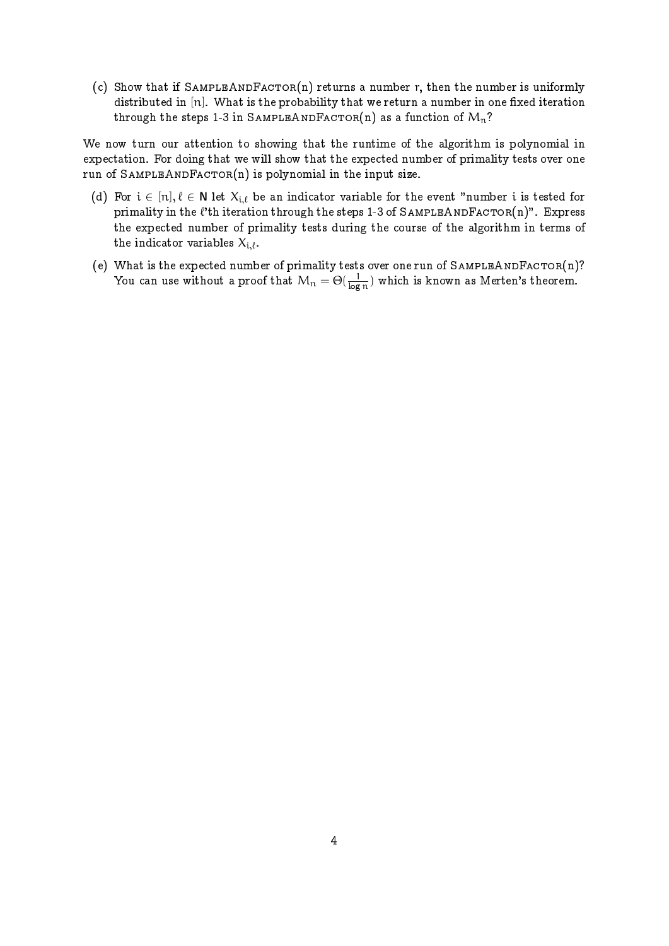(c) Show that if SAMPLEANDFACTOR(n) returns a number r, then the number is uniformly distributed in  $[n]$ . What is the probability that we return a number in one fixed iteration through the steps 1-3 in SAMPLEANDFACTOR(n) as a function of  $M_n$ ?

We now turn our attention to showing that the runtime of the algorithm is polynomial in expectation. For doing that we will show that the expected number of primality tests over one run of SAMPLEANDFACTOR $(n)$  is polynomial in the input size.

- (d) For  $i \in [n], \ell \in N$  let  $X_{i,\ell}$  be an indicator variable for the event "number i is tested for primality in the  $\ell'$ th iteration through the steps 1-3 of SAMPLEANDFACTOR(n)". Express the expected number of primality tests during the course of the algorithm in terms of the indicator variables  $X_{i,\ell}$ .
- (e) What is the expected number of primality tests over one run of SAMPLEANDFACTOR(n)? You can use without a proof that  $\bm{\mathcal{M}}_\text{n} = \Theta(\frac{1}{\log n})$  $\frac{1}{\log n}$ ) which is known as Merten's theorem.